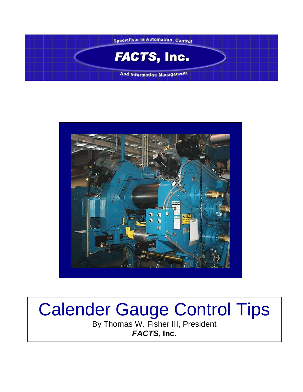



### Calender Gauge Control Tips By Thomas W. Fisher III, President *FACTS***, Inc.**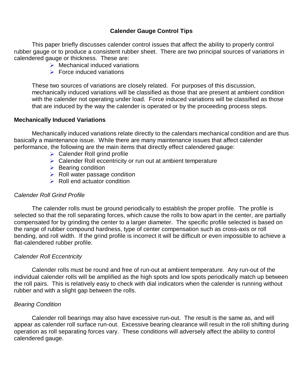#### **Calender Gauge Control Tips**

This paper briefly discusses calender control issues that affect the ability to properly control rubber gauge or to produce a consistent rubber sheet. There are two principal sources of variations in calendered gauge or thickness. These are:

 $\triangleright$  Mechanical induced variations

 $\triangleright$  Force induced variations

These two sources of variations are closely related. For purposes of this discussion, mechanically induced variations will be classified as those that are present at ambient condition with the calender not operating under load. Force induced variations will be classified as those that are induced by the way the calender is operated or by the proceeding process steps.

#### **Mechanically Induced Variations**

Mechanically induced variations relate directly to the calendars mechanical condition and are thus basically a maintenance issue. While there are many maintenance issues that affect calender performance, the following are the main items that directly effect calendered gauge:

- ▶ Calender Roll grind profile
- Calender Roll eccentricity or run out at ambient temperature
- $\triangleright$  Bearing condition
- $\triangleright$  Roll water passage condition
- $\triangleright$  Roll end actuator condition

#### *Calender Roll Grind Profile*

 The calender rolls must be ground periodically to establish the proper profile. The profile is selected so that the roll separating forces, which cause the rolls to bow apart in the center, are partially compensated for by grinding the center to a larger diameter. The specific profile selected is based on the range of rubber compound hardness, type of center compensation such as cross-axis or roll bending, and roll width. If the grind profile is incorrect it will be difficult or even impossible to achieve a flat-calendered rubber profile.

#### *Calender Roll Eccentricity*

 Calender rolls must be round and free of run-out at ambient temperature. Any run-out of the individual calender rolls will be amplified as the high spots and low spots periodically match up between the roll pairs. This is relatively easy to check with dial indicators when the calender is running without rubber and with a slight gap between the rolls.

#### *Bearing Condition*

 Calender roll bearings may also have excessive run-out. The result is the same as, and will appear as calender roll surface run-out. Excessive bearing clearance will result in the roll shifting during operation as roll separating forces vary. These conditions will adversely affect the ability to control calendered gauge.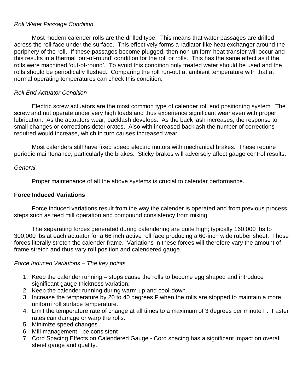#### *Roll Water Passage Condition*

 Most modern calender rolls are the drilled type. This means that water passages are drilled across the roll face under the surface. This effectively forms a radiator-like heat exchanger around the periphery of the roll. If these passages become plugged, then non-uniform heat transfer will occur and this results in a thermal 'out-of-round' condition for the roll or rolls. This has the same effect as if the rolls were machined 'out-of-round'. To avoid this condition only treated water should be used and the rolls should be periodically flushed. Comparing the roll run-out at ambient temperature with that at normal operating temperatures can check this condition.

#### *Roll End Actuator Condition*

 Electric screw actuators are the most common type of calender roll end positioning system. The screw and nut operate under very high loads and thus experience significant wear even with proper lubrication. As the actuators wear, backlash develops. As the back lash increases, the response to small changes or corrections deteriorates. Also with increased backlash the number of corrections required would increase, which in turn causes increased wear.

 Most calenders still have fixed speed electric motors with mechanical brakes. These require periodic maintenance, particularly the brakes. Sticky brakes will adversely affect gauge control results.

#### *General*

Proper maintenance of all the above systems is crucial to calendar performance.

#### **Force Induced Variations**

 Force induced variations result from the way the calender is operated and from previous process steps such as feed mill operation and compound consistency from mixing.

 The separating forces generated during calendering are quite high; typically 160,000 lbs to 300,000 lbs at each actuator for a 66 inch active roll face producing a 60-inch wide rubber sheet. Those forces literally stretch the calender frame. Variations in these forces will therefore vary the amount of frame stretch and thus vary roll position and calendered gauge.

#### *Force Induced Variations – The key points*

- 1. Keep the calender running stops cause the rolls to become egg shaped and introduce significant gauge thickness variation.
- 2. Keep the calender running during warm-up and cool-down.
- 3. Increase the temperature by 20 to 40 degrees F when the rolls are stopped to maintain a more uniform roll surface temperature.
- 4. Limit the temperature rate of change at all times to a maximum of 3 degrees per minute F. Faster rates can damage or warp the rolls.
- 5. Minimize speed changes.
- 6. Mill management be consistent
- 7. Cord Spacing Effects on Calendered Gauge Cord spacing has a significant impact on overall sheet gauge and quality.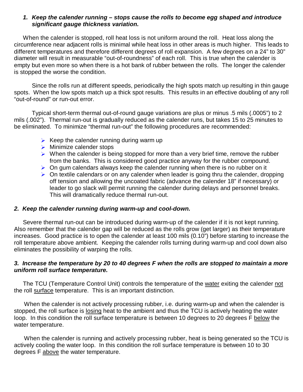#### *1. Keep the calender running – stops cause the rolls to become egg shaped and introduce significant gauge thickness variation.*

When the calender is stopped, roll heat loss is not uniform around the roll. Heat loss along the circumference near adjacent rolls is minimal while heat loss in other areas is much higher. This leads to different temperatures and therefore different degrees of roll expansion. A few degrees on a 24" to 30" diameter will result in measurable "out-of-roundness" of each roll. This is true when the calender is empty but even more so when there is a hot bank of rubber between the rolls. The longer the calender is stopped the worse the condition.

 Since the rolls run at different speeds, periodically the high spots match up resulting in thin gauge spots. When the low spots match up a thick spot results. This results in an effective doubling of any roll "out-of-round" or run-out error.

 Typical short-term thermal out-of-round gauge variations are plus or minus .5 mils (.0005") to 2 mils (.002"). Thermal run-out is gradually reduced as the calender runs, but takes 15 to 25 minutes to be eliminated. To minimize "thermal run-out" the following procedures are recommended:

- $\triangleright$  Keep the calender running during warm up
- $\triangleright$  Minimize calender stops
- $\triangleright$  When the calender is being stopped for more than a very brief time, remove the rubber from the banks. This is considered good practice anyway for the rubber compound.
- $\triangleright$  On gum calendars always keep the calender running when there is no rubber on it
- $\triangleright$  On textile calendars or on any calender when leader is going thru the calender, dropping off tension and allowing the uncoated fabric (advance the calender 18" if necessary) or leader to go slack will permit running the calender during delays and personnel breaks. This will dramatically reduce thermal run-out.

#### *2. Keep the calender running during warm-up and cool-down.*

Severe thermal run-out can be introduced during warm-up of the calender if it is not kept running. Also remember that the calender gap will be reduced as the rolls grow (get larger) as their temperature increases. Good practice is to open the calender at least 100 mils (0.10") before starting to increase the roll temperature above ambient. Keeping the calender rolls turning during warm-up and cool down also eliminates the possibility of warping the rolls.

#### *3. Increase the temperature by 20 to 40 degrees F when the rolls are stopped to maintain a more uniform roll surface temperature.*

The TCU (Temperature Control Unit) controls the temperature of the water exiting the calender not the roll surface temperature. This is an important distinction.

 When the calender is not actively processing rubber, i.e. during warm-up and when the calender is stopped, the roll surface is losing heat to the ambient and thus the TCU is actively heating the water loop. In this condition the roll surface temperature is between 10 degrees to 20 degrees F below the water temperature.

 When the calender is running and actively processing rubber, heat is being generated so the TCU is actively cooling the water loop. In this condition the roll surface temperature is between 10 to 30 degrees F above the water temperature.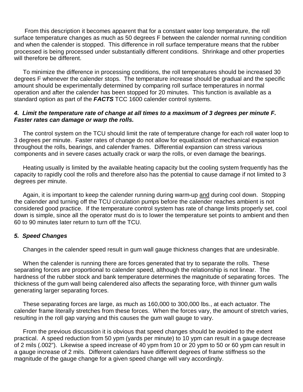From this description it becomes apparent that for a constant water loop temperature, the roll surface temperature changes as much as 50 degrees F between the calender normal running condition and when the calender is stopped. This difference in roll surface temperature means that the rubber processed is being processed under substantially different conditions. Shrinkage and other properties will therefore be different.

To minimize the difference in processing conditions, the roll temperatures should be increased 30 degrees F whenever the calender stops. The temperature increase should be gradual and the specific amount should be experimentally determined by comparing roll surface temperatures in normal operation and after the calender has been stopped for 20 minutes. This function is available as a standard option as part of the *FACTS* TCC 1600 calender control systems.

#### *4. Limit the temperature rate of change at all times to a maximum of 3 degrees per minute F. Faster rates can damage or warp the rolls.*

The control system on the TCU should limit the rate of temperature change for each roll water loop to 3 degrees per minute. Faster rates of change do not allow for equalization of mechanical expansion throughout the rolls, bearings, and calender frames. Differential expansion can stress various components and in severe cases actually crack or warp the rolls, or even damage the bearings.

Heating usually is limited by the available heating capacity but the cooling system frequently has the capacity to rapidly cool the rolls and therefore also has the potential to cause damage if not limited to 3 degrees per minute.

Again, it is important to keep the calender running during warm-up and during cool down. Stopping the calender and turning off the TCU circulation pumps before the calender reaches ambient is not considered good practice. If the temperature control system has rate of change limits properly set, cool down is simple, since all the operator must do is to lower the temperature set points to ambient and then 60 to 90 minutes later return to turn off the TCU.

#### *5. Speed Changes*

Changes in the calender speed result in gum wall gauge thickness changes that are undesirable.

When the calender is running there are forces generated that try to separate the rolls. These separating forces are proportional to calender speed, although the relationship is not linear. The hardness of the rubber stock and bank temperature determines the magnitude of separating forces. The thickness of the gum wall being calendered also affects the separating force, with thinner gum walls generating larger separating forces.

These separating forces are large, as much as 160,000 to 300,000 lbs., at each actuator. The calender frame literally stretches from these forces. When the forces vary, the amount of stretch varies, resulting in the roll gap varying and this causes the gum wall gauge to vary.

From the previous discussion it is obvious that speed changes should be avoided to the extent practical. A speed reduction from 50 ypm (yards per minute) to 10 ypm can result in a gauge decrease of 2 mils (.002"). Likewise a speed increase of 40 ypm from 10 or 20 ypm to 50 or 60 ypm can result in a gauge increase of 2 mils. Different calendars have different degrees of frame stiffness so the magnitude of the gauge change for a given speed change will vary accordingly.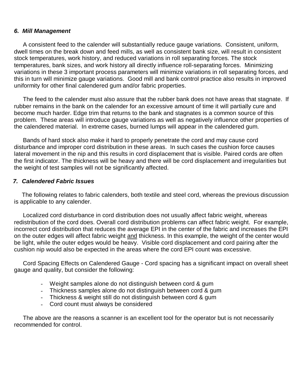#### *6. Mill Management*

A consistent feed to the calender will substantially reduce gauge variations. Consistent, uniform, dwell times on the break down and feed mills, as well as consistent bank size, will result in consistent stock temperatures, work history, and reduced variations in roll separating forces. The stock temperatures, bank sizes, and work history all directly influence roll-separating forces. Minimizing variations in these 3 important process parameters will minimize variations in roll separating forces, and this in turn will minimize gauge variations. Good mill and bank control practice also results in improved uniformity for other final calendered gum and/or fabric properties.

The feed to the calender must also assure that the rubber bank does not have areas that stagnate. If rubber remains in the bank on the calender for an excessive amount of time it will partially cure and become much harder. Edge trim that returns to the bank and stagnates is a common source of this problem. These areas will introduce gauge variations as well as negatively influence other properties of the calendered material. In extreme cases, burned lumps will appear in the calendered gum.

Bands of hard stock also make it hard to properly penetrate the cord and may cause cord disturbance and improper cord distribution in these areas. In such cases the cushion force causes lateral movement in the nip and this results in cord displacement that is visible. Paired cords are often the first indicator. The thickness will be heavy and there will be cord displacement and irregularities but the weight of test samples will not be significantly affected.

#### *7. Calendered Fabric Issues*

The following relates to fabric calenders, both textile and steel cord, whereas the previous discussion is applicable to any calender.

Localized cord disturbance in cord distribution does not usually affect fabric weight, whereas redistribution of the cord does. Overall cord distribution problems can affect fabric weight. For example, incorrect cord distribution that reduces the average EPI in the center of the fabric and increases the EPI on the outer edges will affect fabric weight and thickness. In this example, the weight of the center would be light, while the outer edges would be heavy. Visible cord displacement and cord pairing after the cushion nip would also be expected in the areas where the cord EPI count was excessive.

Cord Spacing Effects on Calendered Gauge - Cord spacing has a significant impact on overall sheet gauge and quality, but consider the following:

- Weight samples alone do not distinguish between cord & gum
- Thickness samples alone do not distinguish between cord & gum
- Thickness & weight still do not distinguish between cord & gum
- Cord count must always be considered

The above are the reasons a scanner is an excellent tool for the operator but is not necessarily recommended for control.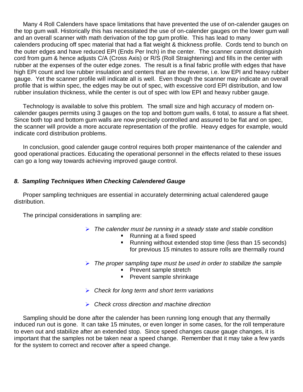Many 4 Roll Calenders have space limitations that have prevented the use of on-calender gauges on the top gum wall. Historically this has necessitated the use of on-calender gauges on the lower gum wall and an overall scanner with math derivation of the top gum profile. This has lead to many calenders producing off spec material that had a flat weight & thickness profile. Cords tend to bunch on the outer edges and have reduced EPI (Ends Per Inch) in the center. The scanner cannot distinguish cord from gum & hence adjusts C/A (Cross Axis) or R/S (Roll Straightening) and fills in the center with rubber at the expenses of the outer edge zones. The result is a final fabric profile with edges that have high EPI count and low rubber insulation and centers that are the reverse, i.e. low EPI and heavy rubber gauge. Yet the scanner profile will indicate all is well. Even though the scanner may indicate an overall profile that is within spec, the edges may be out of spec, with excessive cord EPI distribution, and low rubber insulation thickness, while the center is out of spec with low EPI and heavy rubber gauge.

Technology is available to solve this problem. The small size and high accuracy of modern oncalender gauges permits using 3 gauges on the top and bottom gum walls, 6 total, to assure a flat sheet. Since both top and bottom gum walls are now precisely controlled and assured to be flat and on spec, the scanner will provide a more accurate representation of the profile. Heavy edges for example, would indicate cord distribution problems.

In conclusion, good calender gauge control requires both proper maintenance of the calender and good operational practices. Educating the operational personnel in the effects related to these issues can go a long way towards achieving improved gauge control.

#### *8. Sampling Techniques When Checking Calendered Gauge*

Proper sampling techniques are essential in accurately determining actual calendered gauge distribution.

The principal considerations in sampling are:

- *The calender must be running in a steady state and stable condition* 
	- Running at a fixed speed
	- Running without extended stop time (less than 15 seconds) for previous 15 minutes to assure rolls are thermally round
- *The proper sampling tape must be used in order to stabilize the sample*
	- Prevent sample stretch
	- **Prevent sample shrinkage**
- *Check for long term and short term variations*
- *Check cross direction and machine direction*

Sampling should be done after the calender has been running long enough that any thermally induced run out is gone. It can take 15 minutes, or even longer in some cases, for the roll temperature to even out and stabilize after an extended stop. Since speed changes cause gauge changes, it is important that the samples not be taken near a speed change. Remember that it may take a few yards for the system to correct and recover after a speed change.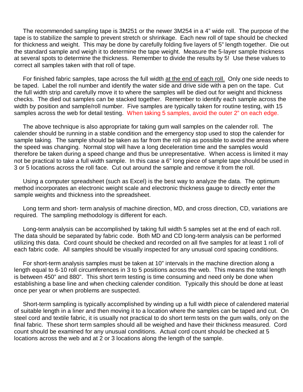The recommended sampling tape is 3M251 or the newer 3M254 in a 4" wide roll. The purpose of the tape is to stabilize the sample to prevent stretch or shrinkage. Each new roll of tape should be checked for thickness and weight. This may be done by carefully folding five layers of 5" length together. Die out the standard sample and weigh it to determine the tape weight. Measure the 5-layer sample thickness at several spots to determine the thickness. Remember to divide the results by 5! Use these values to correct all samples taken with that roll of tape.

For finished fabric samples, tape across the full width at the end of each roll. Only one side needs to be taped. Label the roll number and identify the water side and drive side with a pen on the tape. Cut the full width strip and carefully move it to where the samples will be died out for weight and thickness checks. The died out samples can be stacked together. Remember to identify each sample across the width by position and sample/roll number. Five samples are typically taken for routine testing, with 15 samples across the web for detail testing. When taking 5 samples, avoid the outer 2" on each edge.

The above technique is also appropriate for taking gum wall samples on the calender roll. The calender should be running in a stable condition and the emergency stop used to stop the calender for sample taking. The sample should be taken as far from the roll nip as possible to avoid the areas where the speed was changing. Normal stop will have a long deceleration time and the samples would therefore be taken during a speed change and thus be unrepresentative. When access is limited it may not be practical to take a full width sample. In this case a 6" long piece of sample tape should be used in 3 or 5 locations across the roll face. Cut out around the sample and remove it from the roll.

Using a computer spreadsheet (such as Excel) is the best way to analyze the data. The optimum method incorporates an electronic weight scale and electronic thickness gauge to directly enter the sample weights and thickness into the spreadsheet.

Long term and short- term analysis of machine direction, MD, and cross direction, CD, variations are required. The sampling methodology is different for each.

Long-term analysis can be accomplished by taking full width 5 samples set at the end of each roll. The data should be separated by fabric code. Both MD and CD long-term analysis can be performed utilizing this data. Cord count should be checked and recorded on all five samples for at least 1 roll of each fabric code. All samples should be visually inspected for any unusual cord spacing conditions.

For short-term analysis samples must be taken at 10" intervals in the machine direction along a length equal to 6-10 roll circumferences in 3 to 5 positions across the web. This means the total length is between 450" and 880". This short term testing is time consuming and need only be done when establishing a base line and when checking calender condition. Typically this should be done at least once per year or when problems are suspected.

Short-term sampling is typically accomplished by winding up a full width piece of calendered material of suitable length in a liner and then moving it to a location where the samples can be taped and cut. On steel cord and textile fabric, it is usually not practical to do short term tests on the gum walls, only on the final fabric. These short term samples should all be weighed and have their thickness measured. Cord count should be examined for any unusual conditions. Actual cord count should be checked at 5 locations across the web and at 2 or 3 locations along the length of the sample.